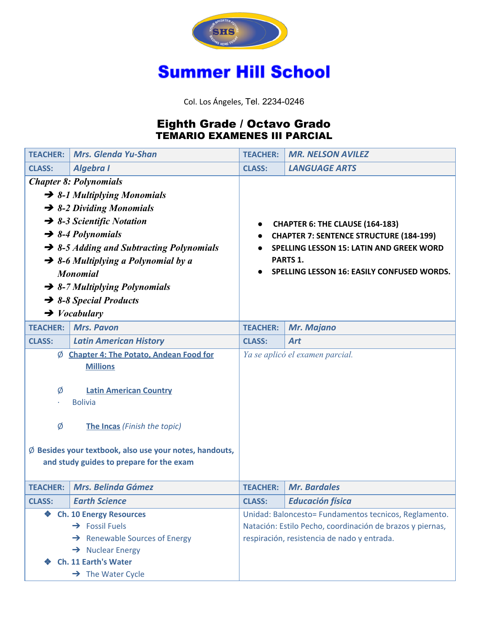

## **Summer Hill School**

Col. Los Ángeles, Tel. 2234-0246

## Eighth Grade / Octavo Grado TEMARIO EXAMENES III PARCIAL

| <b>TEACHER:</b>                                                                                                                                                                                                                                                                                                                                                                                                                                | <b>Mrs. Glenda Yu-Shan</b>    | <b>TEACHER:</b>                                                                                                                                                                                                                  | <b>MR. NELSON AVILEZ</b>        |
|------------------------------------------------------------------------------------------------------------------------------------------------------------------------------------------------------------------------------------------------------------------------------------------------------------------------------------------------------------------------------------------------------------------------------------------------|-------------------------------|----------------------------------------------------------------------------------------------------------------------------------------------------------------------------------------------------------------------------------|---------------------------------|
| <b>CLASS:</b>                                                                                                                                                                                                                                                                                                                                                                                                                                  | <b>Algebra I</b>              | <b>CLASS:</b>                                                                                                                                                                                                                    | <b>LANGUAGE ARTS</b>            |
| <b>Chapter 8: Polynomials</b><br>$\rightarrow$ 8-1 Multiplying Monomials<br>$\rightarrow$ 8-2 Dividing Monomials<br>$\rightarrow$ 8-3 Scientific Notation<br>$\rightarrow$ 8-4 Polynomials<br>$\rightarrow$ 8-5 Adding and Subtracting Polynomials<br>$\rightarrow$ 8-6 Multiplying a Polynomial by a<br><b>Monomial</b><br>$\rightarrow$ 8-7 Multiplying Polynomials<br>$\rightarrow$ 8-8 Special Products<br>$\rightarrow$ <i>Vocabulary</i> |                               | <b>CHAPTER 6: THE CLAUSE (164-183)</b><br>$\bullet$<br><b>CHAPTER 7: SENTENCE STRUCTURE (184-199)</b><br><b>SPELLING LESSON 15: LATIN AND GREEK WORD</b><br><b>PARTS 1.</b><br><b>SPELLING LESSON 16: EASILY CONFUSED WORDS.</b> |                                 |
| <b>TEACHER:</b>                                                                                                                                                                                                                                                                                                                                                                                                                                | <b>Mrs. Pavon</b>             | <b>TEACHER:</b>                                                                                                                                                                                                                  | Mr. Majano                      |
| <b>CLASS:</b>                                                                                                                                                                                                                                                                                                                                                                                                                                  | <b>Latin American History</b> | <b>CLASS:</b>                                                                                                                                                                                                                    | Art                             |
| Ø Chapter 4: The Potato, Andean Food for<br><b>Millions</b><br>Ø<br><b>Latin American Country</b><br><b>Bolivia</b><br>Ø<br>The Incas (Finish the topic)<br>$\emptyset$ Besides your textbook, also use your notes, handouts,<br>and study guides to prepare for the exam                                                                                                                                                                      |                               |                                                                                                                                                                                                                                  | Ya se aplicó el examen parcial. |
| <b>TEACHER:</b>                                                                                                                                                                                                                                                                                                                                                                                                                                | <b>Mrs. Belinda Gámez</b>     | <b>TEACHER:</b>                                                                                                                                                                                                                  | <b>Mr. Bardales</b>             |
| <b>CLASS:</b>                                                                                                                                                                                                                                                                                                                                                                                                                                  | <b>Earth Science</b>          | <b>CLASS:</b>                                                                                                                                                                                                                    | <b>Educación física</b>         |
| <b>Ch. 10 Energy Resources</b><br>$\rightarrow$ Fossil Fuels<br>$\rightarrow$ Renewable Sources of Energy<br>$\rightarrow$ Nuclear Energy<br><b>Ch. 11 Earth's Water</b>                                                                                                                                                                                                                                                                       |                               | Unidad: Baloncesto= Fundamentos tecnicos, Reglamento.<br>Natación: Estilo Pecho, coordinación de brazos y piernas,<br>respiración, resistencia de nado y entrada.                                                                |                                 |
|                                                                                                                                                                                                                                                                                                                                                                                                                                                | $\rightarrow$ The Water Cycle |                                                                                                                                                                                                                                  |                                 |